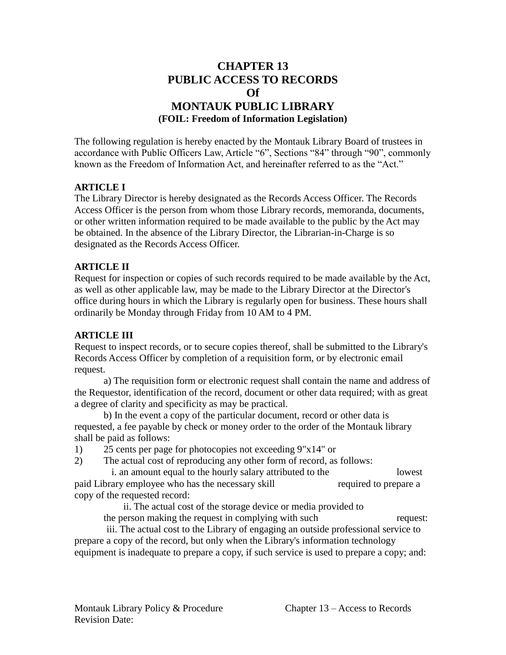# **CHAPTER 13 PUBLIC ACCESS TO RECORDS Of MONTAUK PUBLIC LIBRARY (FOIL: Freedom of Information Legislation)**

The following regulation is hereby enacted by the Montauk Library Board of trustees in accordance with Public Officers Law, Article "6", Sections "84" through "90", commonly known as the Freedom of Information Act, and hereinafter referred to as the "Act."

### **ARTICLE I**

The Library Director is hereby designated as the Records Access Officer. The Records Access Officer is the person from whom those Library records, memoranda, documents, or other written information required to be made available to the public by the Act may be obtained. In the absence of the Library Director, the Librarian-in-Charge is so designated as the Records Access Officer.

### **ARTICLE II**

Request for inspection or copies of such records required to be made available by the Act, as well as other applicable law, may be made to the Library Director at the Director's office during hours in which the Library is regularly open for business. These hours shall ordinarily be Monday through Friday from 10 AM to 4 PM.

#### **ARTICLE III**

Request to inspect records, or to secure copies thereof, shall be submitted to the Library's Records Access Officer by completion of a requisition form, or by electronic email request.

a) The requisition form or electronic request shall contain the name and address of the Requestor, identification of the record, document or other data required; with as great a degree of clarity and specificity as may be practical.

b) In the event a copy of the particular document, record or other data is requested, a fee payable by check or money order to the order of the Montauk library shall be paid as follows:

- 1) 25 cents per page for photocopies not exceeding 9"x14" or
- 2) The actual cost of reproducing any other form of record, as follows:

 i. an amount equal to the hourly salary attributed to the lowest paid Library employee who has the necessary skill required to prepare a copy of the requested record:

ii. The actual cost of the storage device or media provided to

the person making the request in complying with such request:

 iii. The actual cost to the Library of engaging an outside professional service to prepare a copy of the record, but only when the Library's information technology equipment is inadequate to prepare a copy, if such service is used to prepare a copy; and: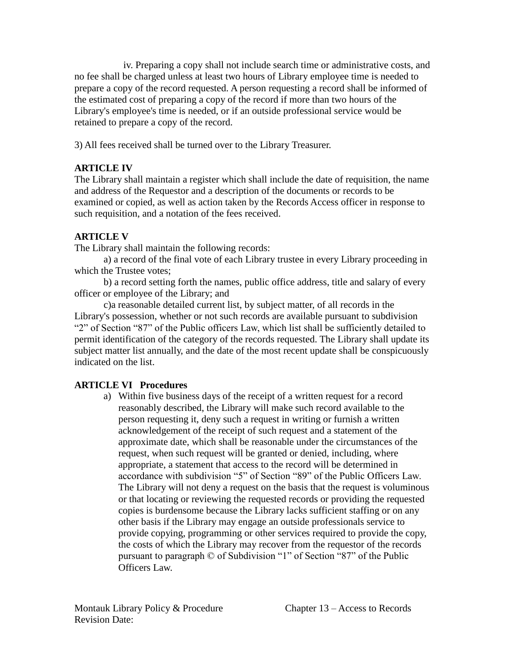iv. Preparing a copy shall not include search time or administrative costs, and no fee shall be charged unless at least two hours of Library employee time is needed to prepare a copy of the record requested. A person requesting a record shall be informed of the estimated cost of preparing a copy of the record if more than two hours of the Library's employee's time is needed, or if an outside professional service would be retained to prepare a copy of the record.

3) All fees received shall be turned over to the Library Treasurer.

## **ARTICLE IV**

The Library shall maintain a register which shall include the date of requisition, the name and address of the Requestor and a description of the documents or records to be examined or copied, as well as action taken by the Records Access officer in response to such requisition, and a notation of the fees received.

## **ARTICLE V**

The Library shall maintain the following records:

a) a record of the final vote of each Library trustee in every Library proceeding in which the Trustee votes;

b) a record setting forth the names, public office address, title and salary of every officer or employee of the Library; and

c)a reasonable detailed current list, by subject matter, of all records in the Library's possession, whether or not such records are available pursuant to subdivision "2" of Section "87" of the Public officers Law, which list shall be sufficiently detailed to permit identification of the category of the records requested. The Library shall update its subject matter list annually, and the date of the most recent update shall be conspicuously indicated on the list.

# **ARTICLE VI Procedures**

a) Within five business days of the receipt of a written request for a record reasonably described, the Library will make such record available to the person requesting it, deny such a request in writing or furnish a written acknowledgement of the receipt of such request and a statement of the approximate date, which shall be reasonable under the circumstances of the request, when such request will be granted or denied, including, where appropriate, a statement that access to the record will be determined in accordance with subdivision "5" of Section "89" of the Public Officers Law. The Library will not deny a request on the basis that the request is voluminous or that locating or reviewing the requested records or providing the requested copies is burdensome because the Library lacks sufficient staffing or on any other basis if the Library may engage an outside professionals service to provide copying, programming or other services required to provide the copy, the costs of which the Library may recover from the requestor of the records pursuant to paragraph © of Subdivision "1" of Section "87" of the Public Officers Law.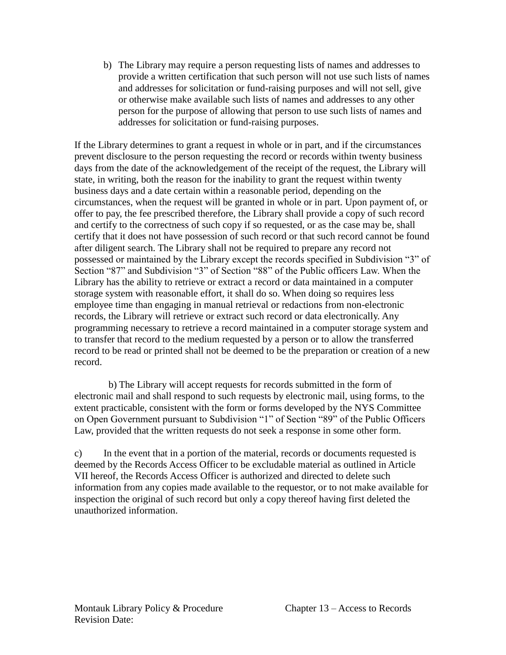b) The Library may require a person requesting lists of names and addresses to provide a written certification that such person will not use such lists of names and addresses for solicitation or fund-raising purposes and will not sell, give or otherwise make available such lists of names and addresses to any other person for the purpose of allowing that person to use such lists of names and addresses for solicitation or fund-raising purposes.

If the Library determines to grant a request in whole or in part, and if the circumstances prevent disclosure to the person requesting the record or records within twenty business days from the date of the acknowledgement of the receipt of the request, the Library will state, in writing, both the reason for the inability to grant the request within twenty business days and a date certain within a reasonable period, depending on the circumstances, when the request will be granted in whole or in part. Upon payment of, or offer to pay, the fee prescribed therefore, the Library shall provide a copy of such record and certify to the correctness of such copy if so requested, or as the case may be, shall certify that it does not have possession of such record or that such record cannot be found after diligent search. The Library shall not be required to prepare any record not possessed or maintained by the Library except the records specified in Subdivision "3" of Section "87" and Subdivision "3" of Section "88" of the Public officers Law. When the Library has the ability to retrieve or extract a record or data maintained in a computer storage system with reasonable effort, it shall do so. When doing so requires less employee time than engaging in manual retrieval or redactions from non-electronic records, the Library will retrieve or extract such record or data electronically. Any programming necessary to retrieve a record maintained in a computer storage system and to transfer that record to the medium requested by a person or to allow the transferred record to be read or printed shall not be deemed to be the preparation or creation of a new record.

 b) The Library will accept requests for records submitted in the form of electronic mail and shall respond to such requests by electronic mail, using forms, to the extent practicable, consistent with the form or forms developed by the NYS Committee on Open Government pursuant to Subdivision "1" of Section "89" of the Public Officers Law, provided that the written requests do not seek a response in some other form.

c) In the event that in a portion of the material, records or documents requested is deemed by the Records Access Officer to be excludable material as outlined in Article VII hereof, the Records Access Officer is authorized and directed to delete such information from any copies made available to the requestor, or to not make available for inspection the original of such record but only a copy thereof having first deleted the unauthorized information.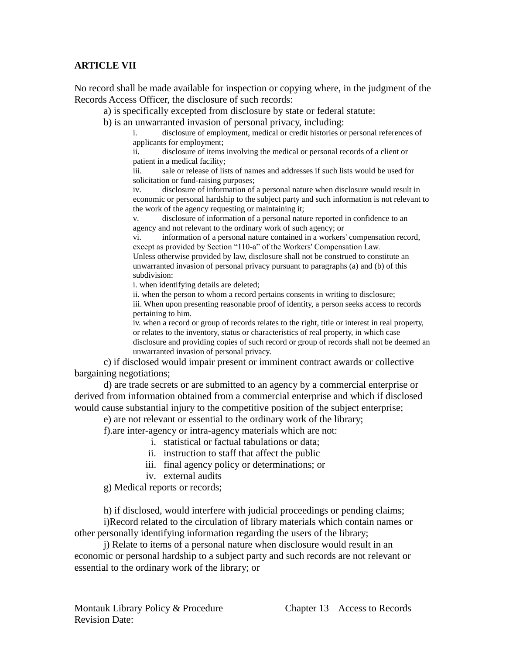#### **ARTICLE VII**

No record shall be made available for inspection or copying where, in the judgment of the Records Access Officer, the disclosure of such records:

a) is specifically excepted from disclosure by state or federal statute:

b) is an unwarranted invasion of personal privacy, including:

i. disclosure of employment, medical or credit histories or personal references of applicants for employment;

ii. disclosure of items involving the medical or personal records of a client or patient in a medical facility;

iii. sale or release of lists of names and addresses if such lists would be used for solicitation or fund-raising purposes;

iv. disclosure of information of a personal nature when disclosure would result in economic or personal hardship to the subject party and such information is not relevant to the work of the agency requesting or maintaining it;

disclosure of information of a personal nature reported in confidence to an agency and not relevant to the ordinary work of such agency; or

vi. information of a personal nature contained in a workers' compensation record, except as provided by Section "110-a" of the Workers' Compensation Law.

Unless otherwise provided by law, disclosure shall not be construed to constitute an unwarranted invasion of personal privacy pursuant to paragraphs (a) and (b) of this subdivision:

i. when identifying details are deleted;

ii. when the person to whom a record pertains consents in writing to disclosure;

iii. When upon presenting reasonable proof of identity, a person seeks access to records pertaining to him.

iv. when a record or group of records relates to the right, title or interest in real property, or relates to the inventory, status or characteristics of real property, in which case disclosure and providing copies of such record or group of records shall not be deemed an unwarranted invasion of personal privacy.

c) if disclosed would impair present or imminent contract awards or collective bargaining negotiations;

d) are trade secrets or are submitted to an agency by a commercial enterprise or derived from information obtained from a commercial enterprise and which if disclosed would cause substantial injury to the competitive position of the subject enterprise;

e) are not relevant or essential to the ordinary work of the library;

f).are inter-agency or intra-agency materials which are not:

i. statistical or factual tabulations or data;

- ii. instruction to staff that affect the public
- iii. final agency policy or determinations; or
- iv. external audits

g) Medical reports or records;

h) if disclosed, would interfere with judicial proceedings or pending claims;

i)Record related to the circulation of library materials which contain names or other personally identifying information regarding the users of the library;

j) Relate to items of a personal nature when disclosure would result in an economic or personal hardship to a subject party and such records are not relevant or essential to the ordinary work of the library; or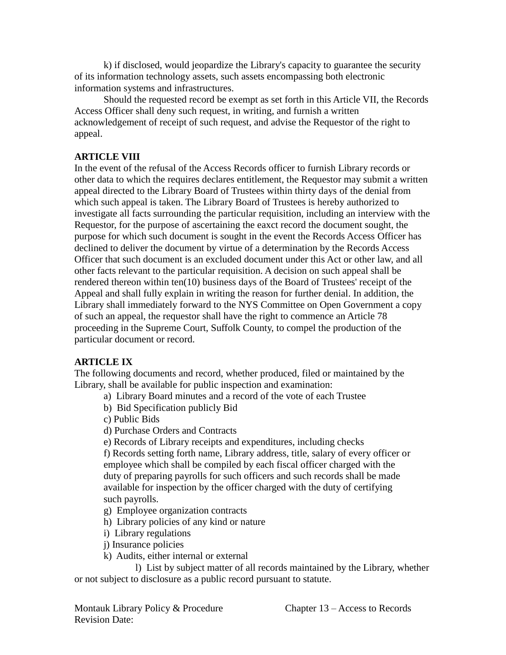k) if disclosed, would jeopardize the Library's capacity to guarantee the security of its information technology assets, such assets encompassing both electronic information systems and infrastructures.

Should the requested record be exempt as set forth in this Article VII, the Records Access Officer shall deny such request, in writing, and furnish a written acknowledgement of receipt of such request, and advise the Requestor of the right to appeal.

#### **ARTICLE VIII**

In the event of the refusal of the Access Records officer to furnish Library records or other data to which the requires declares entitlement, the Requestor may submit a written appeal directed to the Library Board of Trustees within thirty days of the denial from which such appeal is taken. The Library Board of Trustees is hereby authorized to investigate all facts surrounding the particular requisition, including an interview with the Requestor, for the purpose of ascertaining the eaxct record the document sought, the purpose for which such document is sought in the event the Records Access Officer has declined to deliver the document by virtue of a determination by the Records Access Officer that such document is an excluded document under this Act or other law, and all other facts relevant to the particular requisition. A decision on such appeal shall be rendered thereon within ten(10) business days of the Board of Trustees' receipt of the Appeal and shall fully explain in writing the reason for further denial. In addition, the Library shall immediately forward to the NYS Committee on Open Government a copy of such an appeal, the requestor shall have the right to commence an Article 78 proceeding in the Supreme Court, Suffolk County, to compel the production of the particular document or record.

## **ARTICLE IX**

The following documents and record, whether produced, filed or maintained by the Library, shall be available for public inspection and examination:

- a) Library Board minutes and a record of the vote of each Trustee
- b) Bid Specification publicly Bid
- c) Public Bids
- d) Purchase Orders and Contracts
- e) Records of Library receipts and expenditures, including checks

f) Records setting forth name, Library address, title, salary of every officer or employee which shall be compiled by each fiscal officer charged with the duty of preparing payrolls for such officers and such records shall be made available for inspection by the officer charged with the duty of certifying such payrolls.

- g) Employee organization contracts
- h) Library policies of any kind or nature
- i) Library regulations
- j) Insurance policies
- k) Audits, either internal or external

l) List by subject matter of all records maintained by the Library, whether or not subject to disclosure as a public record pursuant to statute.

Montauk Library Policy & Procedure Chapter 13 – Access to Records Revision Date: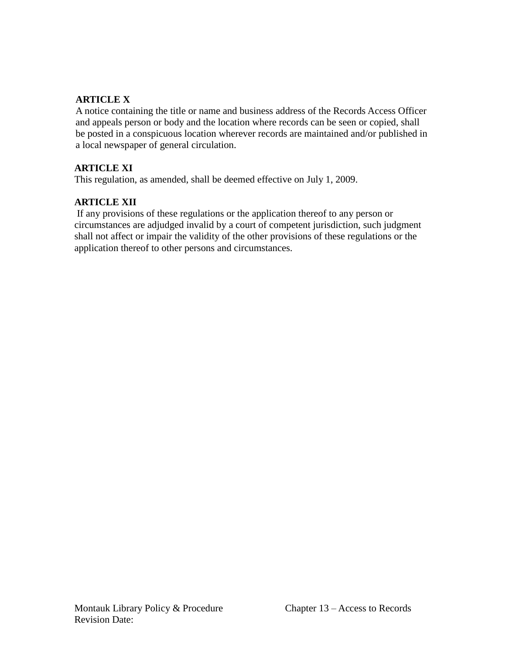### **ARTICLE X**

A notice containing the title or name and business address of the Records Access Officer and appeals person or body and the location where records can be seen or copied, shall be posted in a conspicuous location wherever records are maintained and/or published in a local newspaper of general circulation.

### **ARTICLE XI**

This regulation, as amended, shall be deemed effective on July 1, 2009.

## **ARTICLE XII**

If any provisions of these regulations or the application thereof to any person or circumstances are adjudged invalid by a court of competent jurisdiction, such judgment shall not affect or impair the validity of the other provisions of these regulations or the application thereof to other persons and circumstances.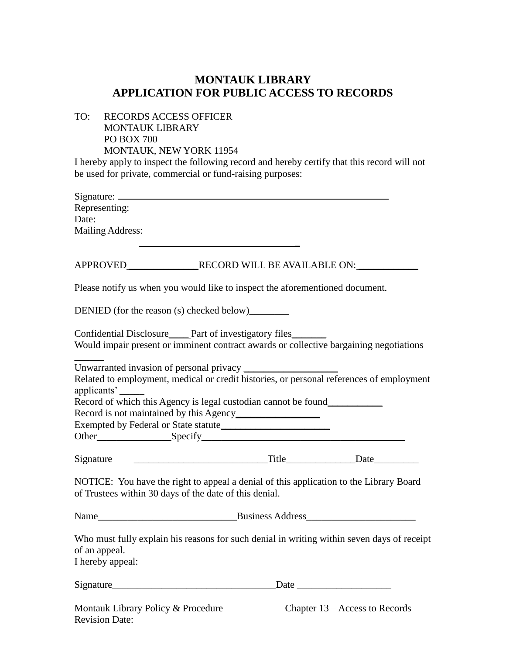# **MONTAUK LIBRARY APPLICATION FOR PUBLIC ACCESS TO RECORDS**

TO: RECORDS ACCESS OFFICER MONTAUK LIBRARY PO BOX 700 MONTAUK, NEW YORK 11954

I hereby apply to inspect the following record and hereby certify that this record will not be used for private, commercial or fund-raising purposes:

| Representing:                                                                |  |                                                                                            |
|------------------------------------------------------------------------------|--|--------------------------------------------------------------------------------------------|
| Date:                                                                        |  |                                                                                            |
| Mailing Address:                                                             |  |                                                                                            |
|                                                                              |  |                                                                                            |
| Please notify us when you would like to inspect the aforementioned document. |  |                                                                                            |
| DENIED (for the reason (s) checked below)                                    |  |                                                                                            |
| Confidential Disclosure<br><u>Part</u> of investigatory files                |  | Would impair present or imminent contract awards or collective bargaining negotiations     |
|                                                                              |  |                                                                                            |
| applicants'                                                                  |  | Related to employment, medical or credit histories, or personal references of employment   |
| Record of which this Agency is legal custodian cannot be found___________    |  |                                                                                            |
|                                                                              |  |                                                                                            |
|                                                                              |  |                                                                                            |
| Signature                                                                    |  |                                                                                            |
| of Trustees within 30 days of the date of this denial.                       |  | NOTICE: You have the right to appeal a denial of this application to the Library Board     |
|                                                                              |  |                                                                                            |
| of an appeal.<br>I hereby appeal:                                            |  | Who must fully explain his reasons for such denial in writing within seven days of receipt |
| Signature                                                                    |  |                                                                                            |
| Montauk Library Policy & Procedure<br><b>Revision Date:</b>                  |  | Chapter 13 – Access to Records                                                             |